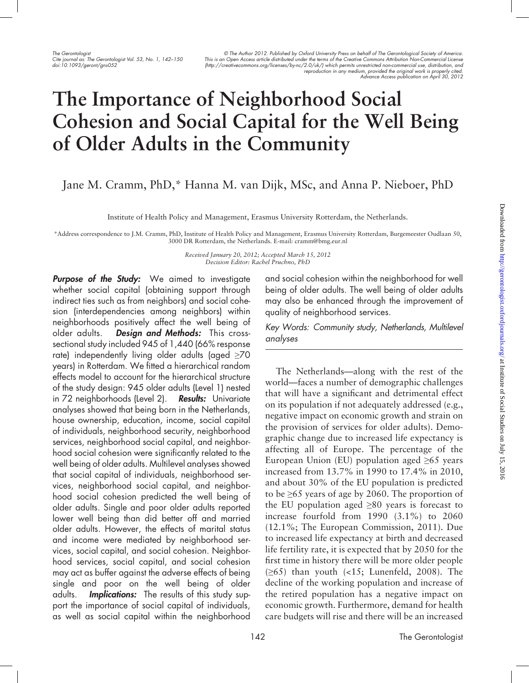# **The Importance of Neighborhood Social Cohesion and Social Capital for the Well Being of Older Adults in the Community**

## Jane M. Cramm, PhD,\* Hanna M. van Dijk, MSc, and Anna P. Nieboer, PhD

Institute of Health Policy and Management, Erasmus University Rotterdam, the Netherlands .

 \* Address correspondence to J.M. Cramm, PhD, Institute of Health Policy and Management, Erasmus University Rotterdam, Burgemeester Oudlaan 50, 3000 DR Rotterdam, the Netherlands. E-mail: cramm@bmg.eur.nl

> *Received January 20 , 2012 ; Accepted March 15 , 2012 Decision Editor: Rachel Pruchno, PhD*

*Purpose of the Study:* We aimed to investigate whether social capital (obtaining support through indirect ties such as from neighbors) and social cohesion (interdependencies among neighbors) within neighborhoods positively affect the well being of older adults. *Design and Methods:* This crosssectional study included 945 of 1,440 (66% response rate) independently living older adults (aged  $\geq 70$ years) in Rotterdam. We fitted a hierarchical random effects model to account for the hierarchical structure of the study design: 945 older adults (Level 1) nested in 72 neighborhoods (Level 2). *Results:* Univariate analyses showed that being born in the Netherlands, house ownership, education, income, social capital of individuals, neighborhood security, neighborhood services, neighborhood social capital, and neighborhood social cohesion were significantly related to the well being of older adults. Multilevel analyses showed that social capital of individuals, neighborhood services, neighborhood social capital, and neighborhood social cohesion predicted the well being of older adults. Single and poor older adults reported lower well being than did better off and married older adults. However, the effects of marital status and income were mediated by neighborhood services, social capital, and social cohesion. Neighborhood services, social capital, and social cohesion may act as buffer against the adverse effects of being single and poor on the well being of older adults. *Implications:* The results of this study support the importance of social capital of individuals, as well as social capital within the neighborhood

and social cohesion within the neighborhood for well being of older adults. The well being of older adults may also be enhanced through the improvement of quality of neighborhood services.

*Key Words: Community study , Netherlands , Multilevel analyses* 

The Netherlands— along with the rest of the world—faces a number of demographic challenges that will have a significant and detrimental effect on its population if not adequately addressed (e.g., negative impact on economic growth and strain on the provision of services for older adults). Demographic change due to increased life expectancy is affecting all of Europe. The percentage of the European Union (EU) population aged  $\geq 65$  years increased from 13.7% in 1990 to 17.4% in 2010, and about 30% of the EU population is predicted to be ≥65 years of age by 2060. The proportion of the EU population aged  $\geq 80$  years is forecast to increase fourfold from 1990 (3.1%) to 2060  $(12.1\%;$  The European Commission, 2011). Due to increased life expectancy at birth and decreased life fertility rate, it is expected that by 2050 for the first time in history there will be more older people  $(\geq 65)$  than youth  $(\leq 15;$  Lunenfeld, 2008). The decline of the working population and increase of the retired population has a negative impact on economic growth. Furthermore, demand for health care budgets will rise and there will be an increased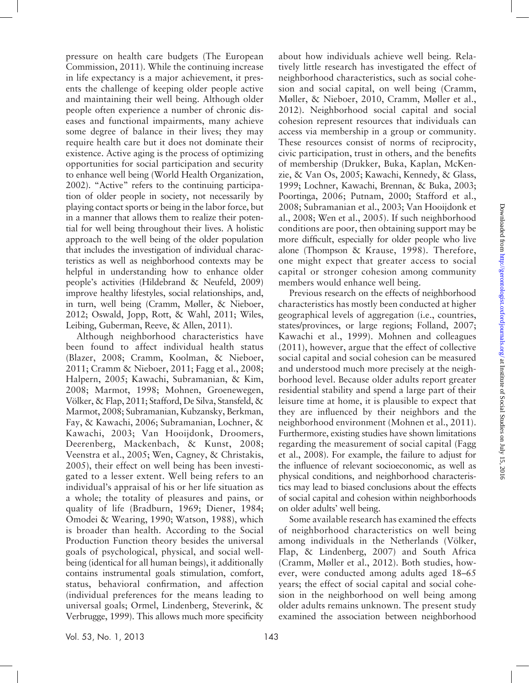pressure on health care budgets ( The European Commission, 2011). While the continuing increase in life expectancy is a major achievement, it presents the challenge of keeping older people active and maintaining their well being. Although older people often experience a number of chronic diseases and functional impairments, many achieve some degree of balance in their lives; they may require health care but it does not dominate their existence. Active aging is the process of optimizing opportunities for social participation and security to enhance well being (World Health Organization, 2002). "Active" refers to the continuing participation of older people in society, not necessarily by playing contact sports or being in the labor force, but in a manner that allows them to realize their potential for well being throughout their lives. A holistic approach to the well being of the older population that includes the investigation of individual characteristics as well as neighborhood contexts may be helpful in understanding how to enhance older people's activities (Hildebrand  $\&$  Neufeld, 2009) improve healthy lifestyles, social relationships, and, in turn, well being (Cramm, Møller, & Nieboer, 2012; Oswald, Jopp, Rott, & Wahl, 2011; Wiles, Leibing, Guberman, Reeve, & Allen, 2011).

Although neighborhood characteristics have been found to affect individual health status (Blazer, 2008; Cramm, Koolman, & Nieboer, 2011; Cramm & Nieboer, 2011; Fagg et al., 2008; Halpern, 2005; Kawachi, Subramanian, & Kim, 2008; Marmot, 1998; Mohnen, Groenewegen, Völker, & Flap, 2011; Stafford, De Silva, Stansfeld, & Marmot, 2008; Subramanian, Kubzansky, Berkman, Fay, & Kawachi, 2006; Subramanian, Lochner, & Kawachi, 2003; Van Hooijdonk, Droomers, Deerenberg, Mackenbach, & Kunst, 2008; Veenstra et al., 2005; Wen, Cagney, & Christakis, 2005 ), their effect on well being has been investigated to a lesser extent. Well being refers to an individual's appraisal of his or her life situation as a whole; the totality of pleasures and pains, or quality of life (Bradburn, 1969; Diener, 1984; Omodei & Wearing, 1990; Watson, 1988), which is broader than health. According to the Social Production Function theory besides the universal goals of psychological, physical, and social wellbeing (identical for all human beings), it additionally contains instrumental goals stimulation, comfort, status, behavioral confirmation, and affection (individual preferences for the means leading to universal goals; Ormel, Lindenberg, Steverink, & Verbrugge, 1999). This allows much more specificity about how individuals achieve well being. Relatively little research has investigated the effect of neighborhood characteristics, such as social cohesion and social capital, on well being (Cramm, Møller, & Nieboer, 2010, Cramm, Møller et al., 2012). Neighborhood social capital and social cohesion represent resources that individuals can access via membership in a group or community. These resources consist of norms of reciprocity, civic participation, trust in others, and the benefits of membership ( Drukker, Buka, Kaplan, McKenzie, & Van Os, 2005; Kawachi, Kennedy, & Glass, 1999; Lochner, Kawachi, Brennan, & Buka, 2003; Poortinga, 2006; Putnam, 2000; Stafford et al., 2008; Subramanian et al., 2003; Van Hooijdonk et al., 2008; Wen et al., 2005). If such neighborhood conditions are poor, then obtaining support may be more difficult, especially for older people who live alone (Thompson & Krause, 1998). Therefore, one might expect that greater access to social capital or stronger cohesion among community members would enhance well being.

Previous research on the effects of neighborhood characteristics has mostly been conducted at higher geographical levels of aggregation (i.e., countries, states/provinces, or large regions; Folland, 2007; Kawachi et al., 1999). Mohnen and colleagues  $(2011)$ , however, argue that the effect of collective social capital and social cohesion can be measured and understood much more precisely at the neighborhood level. Because older adults report greater residential stability and spend a large part of their leisure time at home, it is plausible to expect that they are influenced by their neighbors and the neighborhood environment (Mohnen et al., 2011). Furthermore, existing studies have shown limitations regarding the measurement of social capital (Fagg et al., 2008). For example, the failure to adjust for the influence of relevant socioeconomic, as well as physical conditions, and neighborhood characteristics may lead to biased conclusions about the effects of social capital and cohesion within neighborhoods on older adults' well being.

Some available research has examined the effects of neighborhood characteristics on well being among individuals in the Netherlands (Völker, Flap, & Lindenberg, 2007) and South Africa (Cramm, Møller et al., 2012). Both studies, however, were conducted among adults aged 18–65 years; the effect of social capital and social cohesion in the neighborhood on well being among older adults remains unknown. The present study examined the association between neighborhood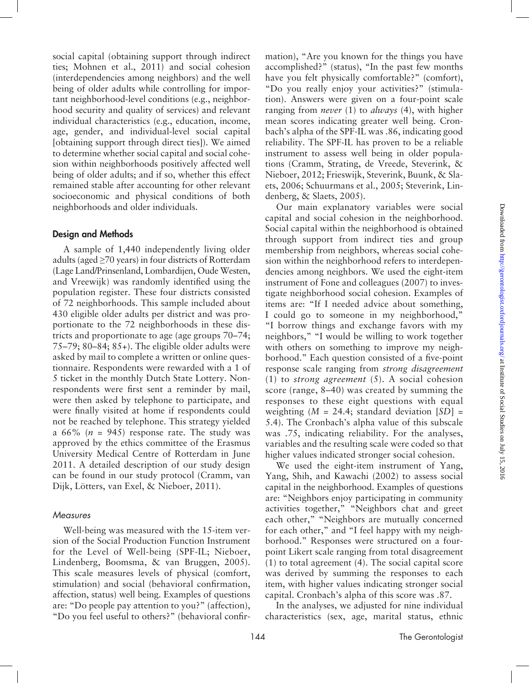social capital (obtaining support through indirect ties; Mohnen et al., 2011) and social cohesion (interdependencies among neighbors) and the well being of older adults while controlling for important neighborhood-level conditions (e.g., neighborhood security and quality of services) and relevant individual characteristics (e.g., education, income, age, gender, and individual-level social capital [obtaining support through direct ties]). We aimed to determine whether social capital and social cohesion within neighborhoods positively affected well being of older adults; and if so, whether this effect remained stable after accounting for other relevant socioeconomic and physical conditions of both neighborhoods and older individuals.

#### Design and Methods

A sample of 1,440 independently living older adults (aged  $\geq$ 70 years) in four districts of Rotterdam (Lage Land/Prinsenland, Lombardijen, Oude Westen, and Vreewijk) was randomly identified using the population register. These four districts consisted of 72 neighborhoods. This sample included about 430 eligible older adults per district and was proportionate to the 72 neighborhoods in these districts and proportionate to age (age groups  $70-74$ ;  $75-79$ ; 80-84; 85+). The eligible older adults were asked by mail to complete a written or online questionnaire. Respondents were rewarded with a 1of 5 ticket in the monthly Dutch State Lottery. Nonrespondents were first sent a reminder by mail, were then asked by telephone to participate, and were finally visited at home if respondents could not be reached by telephone. This strategy yielded a  $66\%$  ( $n = 945$ ) response rate. The study was approved by the ethics committee of the Erasmus University Medical Centre of Rotterdam in June 2011. A detailed description of our study design can be found in our study protocol (Cramm, van Dijk, Lötters, van Exel, & Nieboer, 2011).

#### *Measures*

Well-being was measured with the 15-item version of the Social Production Function Instrument for the Level of Well-being (SPF-IL; Nieboer, Lindenberg, Boomsma, & van Bruggen, 2005). This scale measures levels of physical (comfort, stimulation) and social (behavioral confirmation, affection, status) well being. Examples of questions are: "Do people pay attention to you?" (affection), "Do you feel useful to others?" (behavioral confirmation), " Are you known for the things you have accomplished?" (status), "In the past few months have you felt physically comfortable?" (comfort), "Do you really enjoy your activities?" (stimulation). Answers were given on a four-point scale ranging from *never* (1) to *always* (4), with higher mean scores indicating greater well being. Cronbach's alpha of the SPF-IL was .86, indicating good reliability. The SPF-IL has proven to be a reliable instrument to assess well being in older populations (Cramm, Strating, de Vreede, Steverink, & Nieboer, 2012; Frieswijk, Steverink, Buunk, & Slaets, 2006; Schuurmans et al., 2005; Steverink, Lindenberg, & Slaets, 2005).

Our main explanatory variables were social capital and social cohesion in the neighborhood. Social capital within the neighborhood is obtained through support from indirect ties and group membership from neighbors, whereas social cohesion within the neighborhood refers to interdependencies among neighbors. We used the eight -item instrument of Fone and colleagues (2007) to investigate neighborhood social cohesion. Examples of items are: " If I needed advice about something, I could go to someone in my neighborhood," " I borrow things and exchange favors with my neighbors," "I would be willing to work together with others on something to improve my neighborhood." Each question consisted of a five-point response scale ranging from *strong disagreement* (1) to *strong agreement* (5). A social cohesion score (range, 8-40) was created by summing the responses to these eight questions with equal weighting  $(M = 24.4$ ; standard deviation  $[SD] =$ 5.4). The Cronbach's alpha value of this subscale was .75, indicating reliability. For the analyses, variables and the resulting scale were coded so that higher values indicated stronger social cohesion.

We used the eight-item instrument of Yang, Yang, Shih, and Kawachi (2002) to assess social capital in the neighborhood. Examples of questions are: " Neighbors enjoy participating in community activities together," "Neighbors chat and greet each other," "Neighbors are mutually concerned for each other," and "I feel happy with my neighborhood." Responses were structured on a fourpoint Likert scale ranging from total disagreement (1) to total agreement (4). The social capital score was derived by summing the responses to each item, with higher values indicating stronger social capital. Cronbach's alpha of this score was .87.

In the analyses, we adjusted for nine individual characteristics (sex, age, marital status, ethnic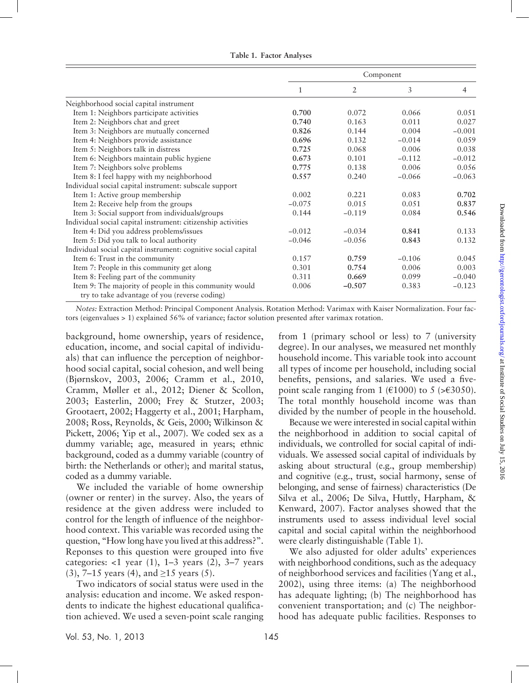|                                                                | Component    |                |          |                |  |
|----------------------------------------------------------------|--------------|----------------|----------|----------------|--|
|                                                                | $\mathbf{1}$ | $\overline{2}$ | 3        | $\overline{4}$ |  |
| Neighborhood social capital instrument                         |              |                |          |                |  |
| Item 1: Neighbors participate activities                       | 0.700        | 0.072          | 0.066    | 0.051          |  |
| Item 2: Neighbors chat and greet                               | 0.740        | 0.163          | 0.011    | 0.027          |  |
| Item 3: Neighbors are mutually concerned                       | 0.826        | 0.144          | 0.004    | $-0.001$       |  |
| Item 4: Neighbors provide assistance                           | 0.696        | 0.132          | $-0.014$ | 0.059          |  |
| Item 5: Neighbors talk in distress                             | 0.725        | 0.068          | 0.006    | 0.038          |  |
| Item 6: Neighbors maintain public hygiene                      | 0.673        | 0.101          | $-0.112$ | $-0.012$       |  |
| Item 7: Neighbors solve problems                               | 0.775        | 0.138          | 0.006    | 0.056          |  |
| Item 8: I feel happy with my neighborhood                      | 0.557        | 0.240          | $-0.066$ | $-0.063$       |  |
| Individual social capital instrument: subscale support         |              |                |          |                |  |
| Item 1: Active group membership                                | 0.002        | 0.221          | 0.083    | 0.702          |  |
| Item 2: Receive help from the groups                           | $-0.075$     | 0.015          | 0.051    | 0.837          |  |
| Item 3: Social support from individuals/groups                 | 0.144        | $-0.119$       | 0.084    | 0.546          |  |
| Individual social capital instrument: citizenship activities   |              |                |          |                |  |
| Item 4: Did you address problems/issues                        | $-0.012$     | $-0.034$       | 0.841    | 0.133          |  |
| Item 5: Did you talk to local authority                        | $-0.046$     | $-0.056$       | 0.843    | 0.132          |  |
| Individual social capital instrument: cognitive social capital |              |                |          |                |  |
| Item 6: Trust in the community                                 | 0.157        | 0.759          | $-0.106$ | 0.045          |  |
| Item 7: People in this community get along                     | 0.301        | 0.754          | 0.006    | 0.003          |  |
| Item 8: Feeling part of the community                          | 0.311        | 0.669          | 0.099    | $-0.040$       |  |
| Item 9: The majority of people in this community would         | 0.006        | $-0.507$       | 0.383    | $-0.123$       |  |
| try to take advantage of you (reverse coding)                  |              |                |          |                |  |

 **Table 1. Factor Analyses** 

*Notes:* Extraction Method: Principal Component Analysis. Rotation Method: Varimax with Kaiser Normalization. Four factors (eigenvalues > 1) explained 56% of variance; factor solution presented after varimax rotation.

background, home ownership, years of residence, education, income, and social capital of individuals) that can influence the perception of neighborhood social capital, social cohesion, and well being (Bjørnskov, 2003, 2006; Cramm et al., 2010, Cramm, Møller et al., 2012; Diener & Scollon, 2003; Easterlin, 2000; Frey & Stutzer, 2003; Grootaert, 2002; Haggerty et al., 2001; Harpham, 2008; Ross, Reynolds, & Geis, 2000; Wilkinson  $\&$ Pickett, 2006; Yip et al., 2007). We coded sex as a dummy variable; age, measured in years; ethnic background, coded as a dummy variable (country of birth: the Netherlands or other); and marital status, coded as a dummy variable.

We included the variable of home ownership (owner or renter) in the survey. Also, the years of residence at the given address were included to control for the length of influence of the neighborhood context. This variable was recorded using the question, "How long have you lived at this address?". Reponses to this question were grouped into five categories:  $<$ 1 year (1), 1–3 years (2), 3–7 years (3), 7–15 years (4), and  $\geq$ 15 years (5).

Two indicators of social status were used in the analysis: education and income. We asked respondents to indicate the highest educational qualification achieved. We used a seven-point scale ranging

from 1 (primary school or less) to 7 (university degree). In our analyses, we measured net monthly household income. This variable took into account all types of income per household, including social benefits, pensions, and salaries. We used a fivepoint scale ranging from 1 ( $\epsilon$ 1000) to 5 ( $>\epsilon$ 3050). The total monthly household income was than divided by the number of people in the household.

Because we were interested in social capital within the neighborhood in addition to social capital of individuals, we controlled for social capital of individuals. We assessed social capital of individuals by asking about structural (e.g., group membership) and cognitive (e.g., trust, social harmony, sense of belonging, and sense of fairness) characteristics ( De Silva et al., 2006; De Silva, Huttly, Harpham,  $\&$ Kenward, 2007). Factor analyses showed that the instruments used to assess individual level social capital and social capital within the neighborhood were clearly distinguishable (Table 1).

We also adjusted for older adults' experiences with neighborhood conditions, such as the adequacy of neighborhood services and facilities ( Yang et al., 2002), using three items: (a) The neighborhood has adequate lighting; (b) The neighborhood has convenient transportation; and  $(c)$  The neighborhood has adequate public facilities. Responses to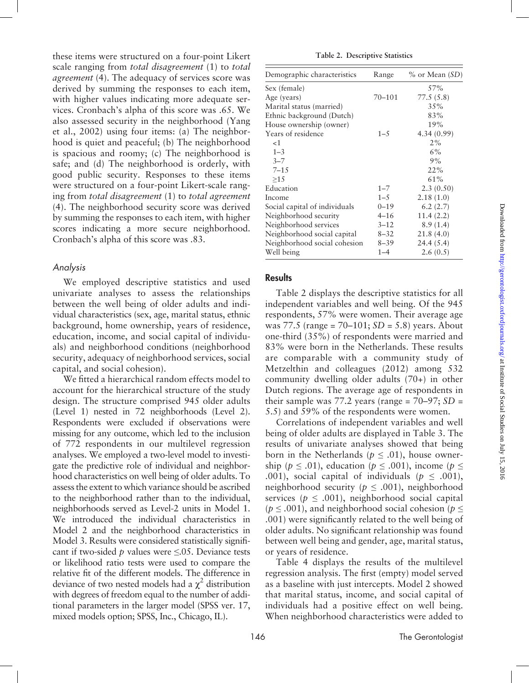these items were structured on a four-point Likert scale ranging from *total disagreement* (1) to *total agreement* (4). The adequacy of services score was derived by summing the responses to each item, with higher values indicating more adequate services. Cronbach's alpha of this score was .65. We also assessed security in the neighborhood (Yang et al.,  $2002$ ) using four items: (a) The neighborhood is quiet and peaceful; (b) The neighborhood is spacious and roomy; (c) The neighborhood is safe; and (d) The neighborhood is orderly, with good public security. Responses to these items were structured on a four-point Likert-scale ranging from *total disagreement* (1) to *total agreement* (4). The neighborhood security score was derived by summing the responses to each item, with higher scores indicating a more secure neighborhood. Cronbach's alpha of this score was .83.

#### *Analysis*

We employed descriptive statistics and used univariate analyses to assess the relationships between the well being of older adults and individual characteristics (sex, age, marital status, ethnic background, home ownership, years of residence, education, income, and social capital of individuals) and neighborhood conditions (neighborhood security, adequacy of neighborhood services, social capital, and social cohesion).

We fitted a hierarchical random effects model to account for the hierarchical structure of the study design. The structure comprised 945 older adults (Level 1) nested in 72 neighborhoods (Level 2). Respondents were excluded if observations were missing for any outcome, which led to the inclusion of 772 respondents in our multilevel regression analyses. We employed a two-level model to investigate the predictive role of individual and neighborhood characteristics on well being of older adults. To assess the extent to which variance should be ascribed to the neighborhood rather than to the individual, neighborhoods served as Level-2 units in Model 1. We introduced the individual characteristics in Model 2 and the neighborhood characteristics in Model 3. Results were considered statistically significant if two-sided  $p$  values were  $\leq 0.05$ . Deviance tests or likelihood ratio tests were used to compare the relative fit of the different models. The difference in deviance of two nested models had a  $\chi^2$  distribution with degrees of freedom equal to the number of additional parameters in the larger model (SPSS ver. 17, mixed models option; SPSS, Inc., Chicago, IL).

 **Table 2. Descriptive Statistics** 

| Demographic characteristics   | Range    | % or Mean (SD) |
|-------------------------------|----------|----------------|
| Sex (female)                  |          | 57%            |
| Age (years)                   | 70-101   | 77.5(5.8)      |
| Marital status (married)      |          | 35%            |
| Ethnic background (Dutch)     |          | 83%            |
| House ownership (owner)       |          | 19%            |
| Years of residence            | $1 - 5$  | 4.34(0.99)     |
| ${<}1$                        |          | 2%             |
| $1 - 3$                       |          | 6%             |
| $3 - 7$                       |          | 9%             |
| $7 - 1.5$                     |          | 22%            |
| >15                           |          | 61%            |
| Education                     | $1 - 7$  | 2.3(0.50)      |
| Income                        | $1 - 5$  | 2.18(1.0)      |
| Social capital of individuals | $0 - 19$ | 6.2(2.7)       |
| Neighborhood security         | $4 - 16$ | 11.4(2.2)      |
| Neighborhood services         | $3 - 12$ | 8.9(1.4)       |
| Neighborhood social capital   | $8 - 32$ | 21.8(4.0)      |
| Neighborhood social cohesion  | $8 - 39$ | 24.4(5.4)      |
| Well being                    | $1 - 4$  | 2.6(0.5)       |

### **Results**

Table 2 displays the descriptive statistics for all independent variables and well being. Of the 945 respondents, 57% were women. Their average age was 77.5 (range = 70–101; *SD* = 5.8) years. About one-third (35%) of respondents were married and 83% were born in the Netherlands. These results are comparable with a community study of Metzelthin and colleagues (2012) among 532 community dwelling older adults (70+) in other Dutch regions. The average age of respondents in their sample was  $77.2$  years (range =  $70-97$ ;  $SD =$ 5.5) and 59% of the respondents were women.

Correlations of independent variables and well being of older adults are displayed in Table 3. The results of univariate analyses showed that being born in the Netherlands ( $p \leq .01$ ), house ownership ( $p \leq .01$ ), education ( $p \leq .001$ ), income ( $p \leq$ .001), social capital of individuals ( $p \leq .001$ ), neighborhood security ( $p \leq .001$ ), neighborhood services ( $p \leq .001$ ), neighborhood social capital ( $p \leq .001$ ), and neighborhood social cohesion ( $p \leq$ .001) were significantly related to the well being of older adults. No significant relationship was found between well being and gender, age, marital status, or years of residence.

Table 4 displays the results of the multilevel regression analysis. The first (empty) model served as a baseline with just intercepts. Model 2 showed that marital status, income, and social capital of individuals had a positive effect on well being. When neighborhood characteristics were added to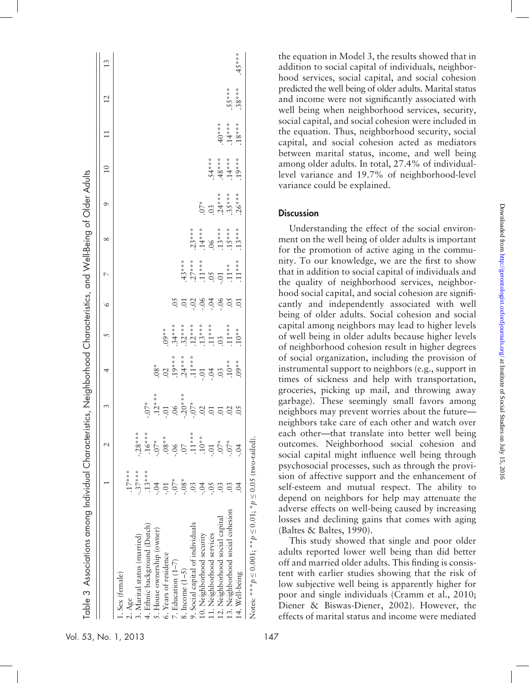| Table 3 Associations among Individual Characteristics, Neighborhood Characteristics, and Well-Being of Older Adults |                 |          |                    |                      |                 |                     |                                      |                   |                   |                      |         |          |               |
|---------------------------------------------------------------------------------------------------------------------|-----------------|----------|--------------------|----------------------|-----------------|---------------------|--------------------------------------|-------------------|-------------------|----------------------|---------|----------|---------------|
|                                                                                                                     |                 |          | 3                  | 4                    |                 | ∘                   |                                      | $^{\circ}$        | ᡋ                 |                      |         | $\simeq$ | $\frac{3}{2}$ |
| 1. Sex (female)                                                                                                     |                 |          |                    |                      |                 |                     |                                      |                   |                   |                      |         |          |               |
| 2. Age                                                                                                              | $17***$         |          |                    |                      |                 |                     |                                      |                   |                   |                      |         |          |               |
| 3. Marital status (married)                                                                                         | $-37***$        | $-28***$ |                    |                      |                 |                     |                                      |                   |                   |                      |         |          |               |
| 4. Ethnic background (Dutch)                                                                                        | $13***$         | $16***$  | $-0.07*$           |                      |                 |                     |                                      |                   |                   |                      |         |          |               |
| 5. House ownership (owner)                                                                                          | $\dot{6}$       | $*20.5$  | $.12***$           | $.08*$               |                 |                     |                                      |                   |                   |                      |         |          |               |
| 6. Years of residence                                                                                               | $-0.1$          | $.08**$  |                    | $\overline{0}$       | $09**$          |                     |                                      |                   |                   |                      |         |          |               |
| 7. Education (1-7)                                                                                                  | $*20.5$         | $-0.6$   |                    | $.19***$             | $.34***$        | SO.                 |                                      |                   |                   |                      |         |          |               |
| 8. Income $(1-5)$                                                                                                   | $-.08*$         | 07       |                    |                      | $.32***$        | $\overline{0}$      | $.43***$                             |                   |                   |                      |         |          |               |
| 9. Social capital of individuals                                                                                    | .03             | $.11***$ | $.06$<br>$-.20***$ | $.24***$<br>$.11***$ | $.12***$        | $\ddot{\mathrm{S}}$ |                                      | $23***$           |                   |                      |         |          |               |
| 10. Neighborhood security                                                                                           | $-0.4$          | $.10**$  |                    | $\overline{0}$ .     | $.13***$        |                     | $27**$<br>$-1**$<br>$-1**$<br>$-0.5$ | $14***$           | $07*$             |                      |         |          |               |
| 11. Neighborhood services                                                                                           | $-0.5$          | $-0.01$  | $\frac{0}{2}$      | $\ddot{6}$           | $.11***$        |                     |                                      |                   |                   | 54***                |         |          |               |
| 12. Neighborhood social capital                                                                                     | .03             | $.07*$   | $\overline{0}$ .   | .03                  | $\overline{0}3$ | 6480                | $\overline{0}$ .                     | $.06$<br>$.13***$ | $.03$<br>$.24***$ |                      | $40***$ |          |               |
| 13. Neighborhood social cohesion                                                                                    | $\overline{0}$  | $-0.07*$ |                    | $.10**$              | $11***$         |                     | $.11**$                              | $15***$           | $.35***$          | $.48***$<br>$.14***$ | $14***$ | 35***    |               |
| 14. Well-being                                                                                                      | $\widetilde{q}$ | $-0.1$   | $\frac{02}{05}$    | $.09**$              | $10**$          | $\overline{0}$      | $11***$                              | $13***$           | $26***$           | $19***$              | $18**$  | $38***$  | $.45***$      |
| Notes: *** $p \le 0.001$ ; ** $p \le 0.01$ ; * $p \le 0.05$ (two-tailed).                                           |                 |          |                    |                      |                 |                     |                                      |                   |                   |                      |         |          |               |

the equation in Model 3, the results showed that in addition to social capital of individuals, neighborhood services, social capital, and social cohesion predicted the well being of older adults. Marital status and income were not significantly associated with well being when neighborhood services, security, social capital, and social cohesion were included in the equation. Thus, neighborhood security, social capital, and social cohesion acted as mediators between marital status, income, and well being among older adults. In total, 27.4% of individuallevel variance and 19.7% of neighborhood-level variance could be explained.

#### **Discussion**

Understanding the effect of the social environment on the well being of older adults is important for the promotion of active aging in the community. To our knowledge, we are the first to show that in addition to social capital of individuals and the quality of neighborhood services, neighborhood social capital, and social cohesion are significantly and independently associated with well being of older adults. Social cohesion and social capital among neighbors may lead to higher levels of well being in older adults because higher levels of neighborhood cohesion result in higher degrees of social organization, including the provision of instrumental support to neighbors (e.g., support in times of sickness and help with transportation, groceries, picking up mail, and throwing away garbage). These seemingly small favors among neighbors may prevent worries about the future neighbors take care of each other and watch over each other— that translate into better well being outcomes. Neighborhood social cohesion and social capital might influence well being through psychosocial processes, such as through the provision of affective support and the enhancement of self-esteem and mutual respect. The ability to depend on neighbors for help may attenuate the adverse effects on well-being caused by increasing losses and declining gains that comes with aging (Baltes & Baltes, 1990).

This study showed that single and poor older adults reported lower well being than did better off and married older adults. This finding is consistent with earlier studies showing that the risk of low subjective well being is apparently higher for poor and single individuals (Cramm et al., 2010; Diener & Biswas-Diener, 2002). However, the effects of marital status and income were mediated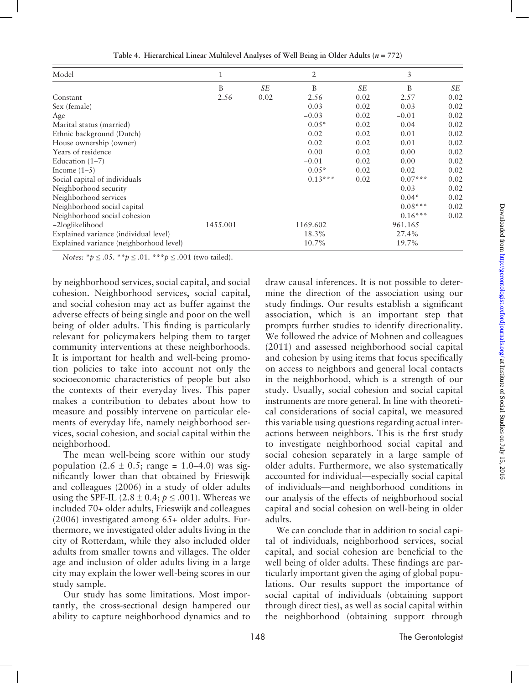Table 4. Hierarchical Linear Multilevel Analyses of Well Being in Older Adults ( $n = 772$ )

| Model                                   | $\mathbf 1$ |      | $\overline{2}$ |      | 3         |      |
|-----------------------------------------|-------------|------|----------------|------|-----------|------|
|                                         | B           | SE   | B              | SE   | B         | SE   |
| Constant                                | 2.56        | 0.02 | 2.56           | 0.02 | 2.57      | 0.02 |
| Sex (female)                            |             |      | 0.03           | 0.02 | 0.03      | 0.02 |
| Age                                     |             |      | $-0.03$        | 0.02 | $-0.01$   | 0.02 |
| Marital status (married)                |             |      | $0.05*$        | 0.02 | 0.04      | 0.02 |
| Ethnic background (Dutch)               |             |      | 0.02           | 0.02 | 0.01      | 0.02 |
| House ownership (owner)                 |             |      | 0.02           | 0.02 | 0.01      | 0.02 |
| Years of residence                      |             |      | 0.00           | 0.02 | 0.00      | 0.02 |
| Education $(1-7)$                       |             |      | $-0.01$        | 0.02 | 0.00      | 0.02 |
| Income $(1-5)$                          |             |      | $0.05*$        | 0.02 | 0.02      | 0.02 |
| Social capital of individuals           |             |      | $0.13***$      | 0.02 | $0.07***$ | 0.02 |
| Neighborhood security                   |             |      |                |      | 0.03      | 0.02 |
| Neighborhood services                   |             |      |                |      | $0.04*$   | 0.02 |
| Neighborhood social capital             |             |      |                |      | $0.08***$ | 0.02 |
| Neighborhood social cohesion            |             |      |                |      | $0.16***$ | 0.02 |
| -2loglikelihood                         | 1455.001    |      | 1169.602       |      | 961.165   |      |
| Explained variance (individual level)   |             |      | 18.3%          |      | 27.4%     |      |
| Explained variance (neighborhood level) |             |      | 10.7%          |      | 19.7%     |      |

*Notes:*  ${}^*p \leq .05$ .  ${}^{**}p \leq .01$ .  ${}^{***}p \leq .001$  (two tailed).

by neighborhood services, social capital, and social cohesion. Neighborhood services, social capital, and social cohesion may act as buffer against the adverse effects of being single and poor on the well being of older adults. This finding is particularly relevant for policymakers helping them to target community interventions at these neighborhoods. It is important for health and well-being promotion policies to take into account not only the socioeconomic characteristics of people but also the contexts of their everyday lives. This paper makes a contribution to debates about how to measure and possibly intervene on particular elements of everyday life, namely neighborhood services, social cohesion, and social capital within the neighborhood.

The mean well-being score within our study population  $(2.6 \pm 0.5)$ ; range = 1.0–4.0) was significantly lower than that obtained by Frieswijk and colleagues (2006) in a study of older adults using the SPF-IL  $(2.8 \pm 0.4; p \leq .001)$ . Whereas we included 70+ older adults, Frieswijk and colleagues  $(2006)$  investigated among  $65+$  older adults. Furthermore, we investigated older adults living in the city of Rotterdam, while they also included older adults from smaller towns and villages. The older age and inclusion of older adults living in a large city may explain the lower well-being scores in our study sample.

Our study has some limitations. Most importantly, the cross-sectional design hampered our ability to capture neighborhood dynamics and to

draw causal inferences. It is not possible to determine the direction of the association using our study findings. Our results establish a significant association, which is an important step that prompts further studies to identify directionality. We followed the advice of Mohnen and colleagues  $(2011)$  and assessed neighborhood social capital and cohesion by using items that focus specifically on access to neighbors and general local contacts in the neighborhood, which is a strength of our study. Usually, social cohesion and social capital instruments are more general. In line with theoretical considerations of social capital, we measured this variable using questions regarding actual interactions between neighbors. This is the first study to investigate neighborhood social capital and social cohesion separately in a large sample of older adults. Furthermore, we also systematically accounted for individual— especially social capital of individuals— and neighborhood conditions in our analysis of the effects of neighborhood social capital and social cohesion on well-being in older adults.

We can conclude that in addition to social capital of individuals, neighborhood services, social capital, and social cohesion are beneficial to the well being of older adults. These findings are particularly important given the aging of global populations. Our results support the importance of social capital of individuals (obtaining support through direct ties), as well as social capital within the neighborhood (obtaining support through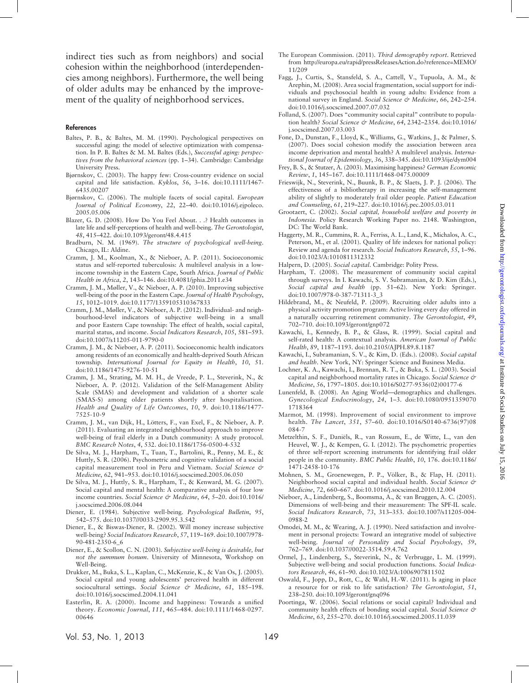indirect ties such as from neighbors) and social cohesion within the neighborhood (interdependencies among neighbors). Furthermore, the well being of older adults may be enhanced by the improvement of the quality of neighborhood services.

#### References

- Baltes, P. B., & Baltes, M. M. (1990). Psychological perspectives on successful aging: the model of selective optimization with compensation. In P. B. Baltes & M. M. Baltes (Eds.), *Successful aging: perspec*tives from the behavioral sciences (pp. 1-34). Cambridge: Cambridge University Press .
- Bjørnskov, C. (2003). The happy few: Cross-country evidence on social capital and life satisfaction. *Kyklos*, 56, 3-16. doi:10.1111/1467-6435.00207
- Bjørnskov, C. (2006). The multiple facets of social capital. *European* Journal of Political Economy, 22, 22-40. doi:10.1016/j.ejpoleco. 2005.05.006
- Blazer, G. D. (2008). How Do You Feel About. . .? Health outcomes in late life and self-perceptions of health and well-being. *The Gerontologist*, *48* , 415 – 422 . doi:10.1093/geront/48.4.415
- Bradburn, N. M. (1969). *The structure of psychological well-being*. Chicago, IL: Aldine.
- Cramm, J. M., Koolman, X., & Nieboer, A. P. (2011). Socioeconomic status and self-reported tuberculosis: A multilevel analysis in a lowincome township in the Eastern Cape, South Africa . *Journal of Public Health in Africa* , *2* , 143 – 146 . doi:10.4081/jphia.2011.e34
- Cramm, J. M., Møller, V., & Nieboer, A. P. (2010). Improving subjective well-being of the poor in the Eastern Cape . *Journal of Health Psychology* , *15* , 1012 – 1019 . doi:10.1177/1359105310367833
- Cramm, J. M., Møller, V., & Nieboer, A. P. (2012). Individual- and neighbourhood-level indicators of subjective well-being in a small and poor Eastern Cape township: The effect of health, social capital, marital status, and income. *Social Indicators Research*, 105, 581-593. doi:10.1007/s11205-011-9790-0
- Cramm, J. M., & Nieboer, A. P. (2011). Socioeconomic health indicators among residents of an economically and health-deprived South African township. International Journal for Equity in Health, 10, 51. doi:10.1186/1475-9276-10-51
- Cramm, J. M., Strating, M. M. H., de Vreede, P. L., Steverink, N., & Nieboer, A. P. (2012). Validation of the Self-Management Ability Scale (SMAS) and development and validation of a shorter scale (SMAS-S) among older patients shortly after hospitalisation. Health and Quality of Life Outcomes, 10, 9. doi:10.1186/1477-7525-10-9
- Cramm, J. M., van Dijk, H., Lötters, F., van Exel, F., & Nieboer, A. P. (2011). Evaluating an integrated neighbourhood approach to improve well-being of frail elderly in a Dutch community: A study protocol. *BMC Research Notes* , *4* , 532 . doi:10.1186/1756-0500-4-532
- De Silva, M. J., Harpham, T., Tuan, T., Bartolini, R., Penny, M. E., & Huttly, S. R. (2006). Psychometric and cognitive validation of a social capital measurement tool in Peru and Vietnam . *Social Science & Medicine* , *62* , 941 – 953 . doi:10.1016/j.socscimed.2005.06.050
- De Silva, M. J., Huttly, S. R., Harpham, T., & Kenward, M. G. (2007). Social capital and mental health: A comparative analysis of four low income countries. *Social Science & Medicine*, 64, 5-20. doi:10.1016/ j.socscimed.2006.08.044
- Diener, E. (1984). Subjective well-being. *Psychological Bulletin*, 95, 542-575. doi:10.1037//0033-2909.95.3.542
- Diener, E., & Biswas-Diener, R. (2002). Will money increase subjective well-being? *Social Indicators Research*, *57*, 119 – 169 . doi:10.1007/978- 90-481-2350-6\_6
- Diener, E., & Scollon, C. N. (2003). *Subjective well-being is desirable, but* not the summum bonum. University of Minnesota, Workshop on Well-Being.
- Drukker, M., Buka, S. L., Kaplan, C., McKenzie, K., & Van Os, J. (2005). Social capital and young adolescents' perceived health in different sociocultural settings. *Social Science & Medicine*, 61, 185-198. doi:10.1016/j.socscimed.2004.11.041
- Easterlin, R. A. (2000). Income and happiness: Towards a unified theory . *Economic Journal*, *111*, 465 – 484 . doi:10.1111/1468-0297. 00646
- The European Commission . (2011 ). *Third demography report*. Retrieved from http://europa.eu/rapid/pressReleasesAction.do?reference=MEMO/ 11/209
- Fagg, J., Curtis, S., Stansfeld, S. A., Cattell, V., Tupuola, A. M., & Arephin, M. (2008). Area social fragmentation, social support for individuals and psychosocial health in young adults: Evidence from a national survey in England. *Social Science & Medicine*, 66, 242-254. doi:10.1016/j.socscimed.2007.07.032
- Folland, S. (2007). Does "community social capital" contribute to population health? *Social Science & Medicine*, *64*, 2342 – 2354 . doi:10.1016/ j.socscimed.2007.03.003
- Fone, D., Dunstan, F., Lloyd, K., Williams, G., Watkins, J., & Palmer, S. (2007). Does social cohesion modify the association between area income deprivation and mental health? A multilevel analysis . *International Journal of Epidemiology*, *36*, 338 – 345 . doi:10.1093/ije/dym004
- Frey , B. S. , & Stutzer , A.( 2003 ). Maximising happiness? *German Economic Review* , *1* , 145 – 167 . doi:10.1111/1468-0475.00009
- Frieswijk, N., Steverink, N., Buunk, B. P., & Slaets, J. P. J. (2006). The effectiveness of a bibliotherapy in increasing the self-management ability of slightly to moderately frail older people . *Patient Education and Counseling* , *61* , 219 – 227 . doi:10.1016/j.pec.2005.03.011
- Grootaert, C. (2002). *Social capital, household welfare and poverty in Indonesia*. Policy Research Working Paper no. 2148. Washington, DC: The World Bank.
- Haggerty, M. R., Cummins, R. A., Ferriss, A. L., Land, K., Michalos, A. C., Peterson, M., et al. (2001). Quality of life indexes for national policy: Review and agenda for research. *Social Indicators Research*, 55, 1-96. doi:10.1023/A:1010811312332
- Halpern, D. (2005). *Social capital*. Cambridge: Polity Press.
- Harpham, T. (2008). The measurement of community social capital through surveys. In I. Kawachi, S. V. Subramanian, & D. Kim (Eds.), Social capital and health (pp. 51-62). New York: Springer. doi:10.1007/978-0-387-71311-3\_3
- Hildebrand, M., & Neufeld, P. (2009). Recruiting older adults into a physical activity promotion program: Active living every day offered in a naturally occurring retirement community . *The Gerontologist*, *49* , 702-710. doi:10.1093/geront/gnp072
- Kawachi, I., Kennedy, B. P., & Glass, R. (1999). Social capital and self-rated health: A contextual analysis . *American Journal of Public Health* , *89* , 1187 – 1193 . doi:10.2105/AJPH.89.8.1187
- Kawachi, I., Subramanian, S. V., & Kim, D. (Eds.). (2008). *Social capital* and health. New York, NY: Springer Science and Business Media.
- Lochner, K. A., Kawachi, I., Brennan, R. T., & Buka, S. L. (2003). Social capital and neighborhood mortality rates in Chicago . *Social Science & Medicine* , *56* , 1797 – 1805 . doi:10.1016/S0277-9536(02)00177-6
- Lunenfeld, B. (2008). An Aging World-demographics and challenges. Gynecological Endocrinology, 24, 1-3. doi:10.1080/0951359070 1718364
- Marmot, M. (1998). Improvement of social environment to improve health. *The Lancet*, 351, 57-60. doi:10.1016/S0140-6736(97)08 084-7
- Metzelthin, S. F., Daniëls, R., van Rossum, E., de Witte, L., van den Heuvel, W. J., & Kempen, G. I. (2012). The psychometric properties of three self-report screening instruments for identifying frail older people in the community . *BMC Public Health*, *10*, 176 . doi:10.1186/ 1471-2458-10-176
- Mohnen, S. M., Groenewegen, P. P., Völker, B., & Flap, H. (2011). Neighborhood social capital and individual health . *Social Science & Medicine* , *72* , 660 – 667 . doi:10.1016/j.socscimed.2010.12.004
- Nieboer, A., Lindenberg, S., Boomsma, A., & van Bruggen, A. C. (2005). Dimensions of well-being and their measurement: The SPF-IL scale. *Social Indicators Research*, *73*, 313 – 353 . doi:10.1007/s11205-004- 0988-2
- Omodei, M. M., & Wearing, A. J. (1990). Need satisfaction and involvement in personal projects: Toward an integrative model of subjective well-being. *Journal of Personality and Social Psychology*, 59, 762 – 769 . doi:10.1037//0022-3514.59.4.762
- Ormel, J., Lindenberg, S., Steverink, N., & Verbrugge, L. M. (1999). Subjective well-being and social production functions . *Social Indicators Research* , *46* , 61 – 90 . doi:10.1023/A:1006907811502
- Oswald, F., Jopp, D., Rott, C., & Wahl, H.-W. (2011). Is aging in place a resource for or risk to life satisfaction? *The Gerontologist*, *51* , 238-250. doi:10.1093/geront/gnq096
- Poortinga, W. (2006). Social relations or social capital? Individual and community health effects of bonding social capital . *Social Science & Medicine* , *63* , 255 – 270 . doi:10.1016/j.socscimed.2005.11.039